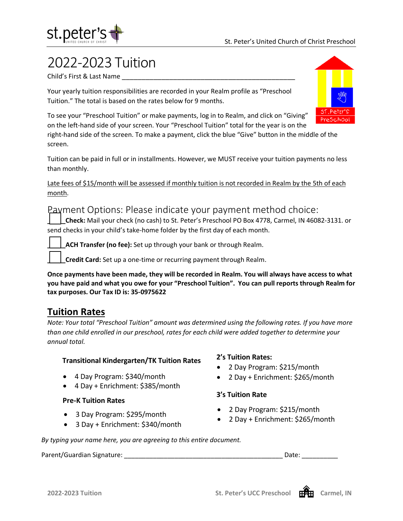

## 2022-2023 Tuition

Child's First & Last Name \_\_\_\_\_\_\_\_\_\_\_\_\_\_\_\_\_\_\_\_\_\_\_\_\_\_\_\_\_\_\_\_\_\_\_\_\_\_\_\_\_\_\_\_

Your yearly tuition responsibilities are recorded in your Realm profile as "Preschool Tuition." The total is based on the rates below for 9 months.



To see your "Preschool Tuition" or make payments, log in to Realm, and click on "Giving" on the left-hand side of your screen. Your "Preschool Tuition" total for the year is on the

right-hand side of the screen. To make a payment, click the blue "Give" button in the middle of the screen.

Tuition can be paid in full or in installments. However, we MUST receive your tuition payments no less than monthly.

Late fees of \$15/month will be assessed if monthly tuition is not recorded in Realm by the 5th of each month.

### Payment Options: Please indicate your payment method choice:

**\_\_\_\_\_Check:** Mail your check (no cash) to St. Peter's Preschool PO Box 4778, Carmel, IN 46082-3131. or send checks in your child's take-home folder by the first day of each month.

**\_ACH Transfer (no fee):** Set up through your bank or through Realm.

**\_\_\_\_\_Credit Card:** Set up a one-time or recurring payment through Realm.

**Once payments have been made, they will be recorded in Realm. You will always have access to what you have paid and what you owe for your "Preschool Tuition". You can pull reports through Realm for tax purposes. Our Tax ID is: 35-0975622**

## **Tuition Rates**

*Note: Your total "Preschool Tuition" amount was determined using the following rates. If you have more than one child enrolled in our preschool, rates for each child were added together to determine your annual total.* 

#### **Transitional Kindergarten/TK Tuition Rates**

- 4 Day Program: \$340/month
- 4 Day + Enrichment: \$385/month

#### **Pre-K Tuition Rates**

- 3 Day Program: \$295/month
- 3 Day + Enrichment: \$340/month

#### **2's Tuition Rates:**

- 2 Day Program: \$215/month
- 2 Day + Enrichment: \$265/month

#### **3's Tuition Rate**

- 2 Day Program: \$215/month
- 2 Day + Enrichment: \$265/month

*By typing your name here, you are agreeing to this entire document.*

Parent/Guardian Signature: \_\_\_\_\_\_\_\_\_\_\_\_\_\_\_\_\_\_\_\_\_\_\_\_\_\_\_\_\_\_\_\_\_\_\_\_\_\_\_\_\_\_\_\_ Date: \_\_\_\_\_\_\_\_\_\_

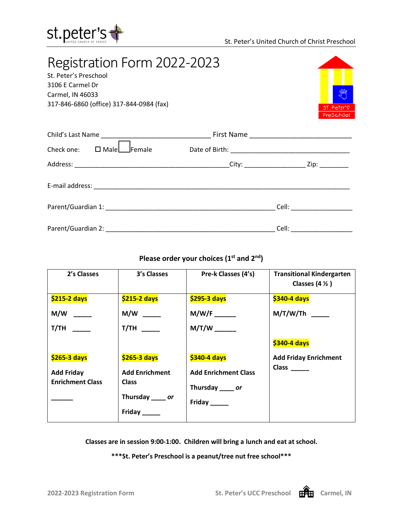

## Registration Form 2022-2023 St. Peter's Preschool 3106 E Carmel Dr Carmel, IN 46033 317-846-6860 (office) 317-844-0984 (fax)



| Check one: | $\square$ Male $\square$ Female |  |  |  |
|------------|---------------------------------|--|--|--|
|            |                                 |  |  |  |
|            |                                 |  |  |  |
|            |                                 |  |  |  |
|            |                                 |  |  |  |

### Please order your choices (1<sup>st</sup> and 2<sup>nd</sup>)

| 2's Classes             | 3's Classes           | Pre-k Classes (4's)         | <b>Transitional Kindergarten</b><br>Classes $(4 \frac{1}{2})$ |
|-------------------------|-----------------------|-----------------------------|---------------------------------------------------------------|
| \$215-2 days            | \$215-2 days          | \$295-3 days                | \$340-4 days                                                  |
|                         |                       | $M/W/F$ <sub>_______</sub>  | M/T/W/Th                                                      |
| $T/TH$ <sub>_____</sub> | T/TH                  |                             |                                                               |
|                         |                       |                             | \$340-4 days                                                  |
| \$265-3 days            | \$265-3 days          | \$340-4 days                | <b>Add Friday Enrichment</b>                                  |
| <b>Add Friday</b>       | <b>Add Enrichment</b> | <b>Add Enrichment Class</b> | $Class$ <sub>_____</sub>                                      |
| <b>Enrichment Class</b> | <b>Class</b>          | Thursday _____ or           |                                                               |
|                         | Thursday _____ or     | Friday _____                |                                                               |
|                         | Friday ______         |                             |                                                               |

**Classes are in session 9:00-1:00. Children will bring a lunch and eat at school.**

**\*\*\*St. Peter's Preschool is a peanut/tree nut free school\*\*\***

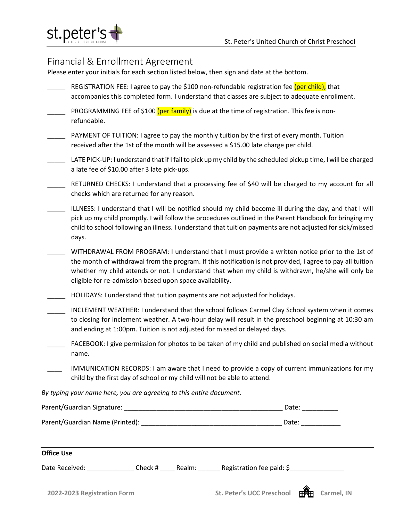

## Financial & Enrollment Agreement

Please enter your initials for each section listed below, then sign and date at the bottom.

- REGISTRATION FEE: I agree to pay the \$100 non-refundable registration fee (per child), that accompanies this completed form. I understand that classes are subject to adequate enrollment.
- **PROGRAMMING FEE of \$100 (per family)** is due at the time of registration. This fee is nonrefundable.
- PAYMENT OF TUITION: I agree to pay the monthly tuition by the first of every month. Tuition received after the 1st of the month will be assessed a \$15.00 late charge per child.
- LATE PICK-UP: I understand that if I fail to pick up my child by the scheduled pickup time, I will be charged a late fee of \$10.00 after 3 late pick-ups.
- \_\_\_\_\_ RETURNED CHECKS: I understand that a processing fee of \$40 will be charged to my account for all checks which are returned for any reason.
- \_\_\_\_\_ ILLNESS: I understand that I will be notified should my child become ill during the day, and that I will pick up my child promptly. I will follow the procedures outlined in the Parent Handbook for bringing my child to school following an illness. I understand that tuition payments are not adjusted for sick/missed days.
- WITHDRAWAL FROM PROGRAM: I understand that I must provide a written notice prior to the 1st of the month of withdrawal from the program. If this notification is not provided, I agree to pay all tuition whether my child attends or not. I understand that when my child is withdrawn, he/she will only be eligible for re-admission based upon space availability.
- \_\_\_\_\_ HOLIDAYS: I understand that tuition payments are not adjusted for holidays.
- INCLEMENT WEATHER: I understand that the school follows Carmel Clay School system when it comes to closing for inclement weather. A two-hour delay will result in the preschool beginning at 10:30 am and ending at 1:00pm. Tuition is not adjusted for missed or delayed days.
- FACEBOOK: I give permission for photos to be taken of my child and published on social media without name.
- IMMUNICATION RECORDS: I am aware that I need to provide a copy of current immunizations for my child by the first day of school or my child will not be able to attend.

*By typing your name here, you are agreeing to this entire document.*

|                                                          |         | Date: $\frac{1}{2}$ |                                       |  |
|----------------------------------------------------------|---------|---------------------|---------------------------------------|--|
| Parent/Guardian Name (Printed): Name (2008) 2014 12:2016 |         | Date:               |                                       |  |
| <b>Office Use</b>                                        |         |                     |                                       |  |
| Date Received: Note that                                 | Check # |                     | Realm: Registration fee paid: $\zeta$ |  |
|                                                          |         |                     | ◚                                     |  |

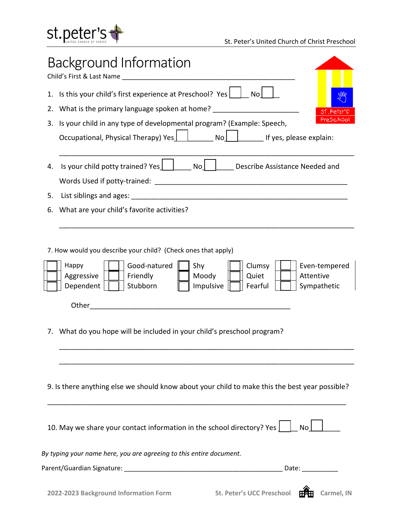

|    | <b>Background Information</b><br>Child's First & Last Name Child's First & Last Name                                                                                                                                                                                                                                               |
|----|------------------------------------------------------------------------------------------------------------------------------------------------------------------------------------------------------------------------------------------------------------------------------------------------------------------------------------|
|    | 1. Is this your child's first experience at Preschool? Yes   No                                                                                                                                                                                                                                                                    |
| 2. | What is the primary language spoken at home?<br>ST. Peter's                                                                                                                                                                                                                                                                        |
| 3. | PreSchool<br>Is your child in any type of developmental program? (Example: Speech,                                                                                                                                                                                                                                                 |
|    | Occupational, Physical Therapy) Yes $\boxed{\phantom{\big }}$ No $\boxed{\phantom{\big }}$ No $\boxed{\phantom{\big }}$ If yes, please explain:                                                                                                                                                                                    |
| 4. | Is your child potty trained? Yes   No No No Describe Assistance Needed and<br>Words Used if potty-trained: Weblack and the set of the set of the set of the set of the set of the set of the                                                                                                                                       |
| 5. |                                                                                                                                                                                                                                                                                                                                    |
| 6. | What are your child's favorite activities?                                                                                                                                                                                                                                                                                         |
| 7. | 7. How would you describe your child? (Check ones that apply)<br>Good-natured<br>Clumsy<br>Happy<br>Shy<br>Even-tempered<br>Aggressive<br>Friendly<br>Moody<br>Attentive<br>Quiet<br>Dependent<br>Stubborn<br>Impulsive<br>Sympathetic<br>Fearful<br>Other<br>What do you hope will be included in your child's preschool program? |
|    | 9. Is there anything else we should know about your child to make this the best year possible?                                                                                                                                                                                                                                     |
|    | 10. May we share your contact information in the school directory? Yes $\vert$<br>No                                                                                                                                                                                                                                               |
|    | By typing your name here, you are agreeing to this entire document.                                                                                                                                                                                                                                                                |
|    |                                                                                                                                                                                                                                                                                                                                    |
|    |                                                                                                                                                                                                                                                                                                                                    |

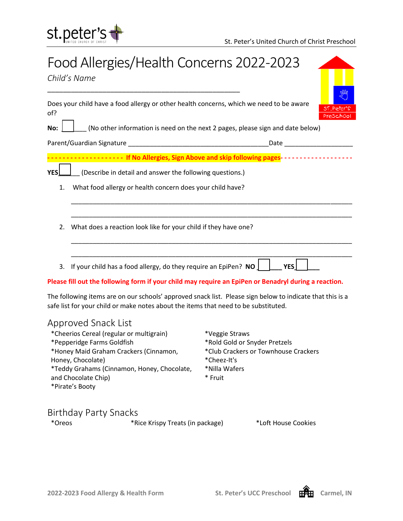

# Food Allergies/Health Concerns 2022-2023

*Child's Name*

| Does your child have a food allergy or other health concerns, which we need to be aware |  |
|-----------------------------------------------------------------------------------------|--|
| of?                                                                                     |  |

**No:**  $\boxed{\phantom{a}}$  (No other information is need on the next 2 pages, please sign and date below)

Parent/Guardian Signature \_\_\_\_\_\_\_\_\_\_\_\_\_\_\_\_\_\_\_\_\_\_\_\_\_\_\_\_\_\_\_\_\_\_\_\_\_\_\_Date \_\_\_\_\_\_\_\_\_\_\_\_\_\_\_\_\_\_\_

<mark>--------- If No Allergies, Sign Above and skip following pages</mark>-------------------

\_\_\_\_\_\_\_\_\_\_\_\_\_\_\_\_\_\_\_\_\_\_\_\_\_\_\_\_\_\_\_\_\_\_\_\_\_\_\_\_\_\_\_\_\_\_\_\_\_\_\_\_\_\_\_\_\_\_\_\_\_\_\_\_\_\_\_\_\_\_\_\_\_\_\_\_\_\_

\_\_\_\_\_\_\_\_\_\_\_\_\_\_\_\_\_\_\_\_\_\_\_\_\_\_\_\_\_\_\_\_\_\_\_\_\_\_\_\_\_\_\_\_\_\_\_\_\_\_\_\_\_\_\_\_\_\_\_\_\_\_\_\_\_\_\_\_\_\_\_\_\_\_\_\_\_\_

\_\_\_\_\_\_\_\_\_\_\_\_\_\_\_\_\_\_\_\_\_\_\_\_\_\_\_\_\_\_\_\_\_\_\_\_\_\_\_\_\_\_\_\_\_\_\_\_\_\_\_\_\_\_\_\_\_\_\_\_\_\_\_\_\_\_\_\_\_\_\_\_\_\_\_\_\_\_

\_\_\_\_\_\_\_\_\_\_\_\_\_\_\_\_\_\_\_\_\_\_\_\_\_\_\_\_\_\_\_\_\_\_\_\_\_\_\_\_\_\_\_\_\_\_\_\_\_\_\_\_\_\_\_\_\_\_\_\_\_\_\_\_\_\_\_\_\_\_\_\_\_\_\_\_\_\_

**YES** (Describe in detail and answer the following questions.)

\_\_\_\_\_\_\_\_\_\_\_\_\_\_\_\_\_\_\_\_\_\_\_\_\_\_\_\_\_\_\_\_\_\_\_\_\_\_\_\_\_\_\_\_\_\_\_\_\_

- 1. What food allergy or health concern does your child have?
- 2. What does a reaction look like for your child if they have one?
- 3. If your child has a food allergy, do they require an EpiPen? **NO | | | YES**

#### **Please fill out the following form if your child may require an EpiPen or Benadryl during a reaction.**

The following items are on our schools' approved snack list. Please sign below to indicate that this is a safe list for your child or make notes about the items that need to be substituted.

### Approved Snack List

| *Veggie Straws                       |
|--------------------------------------|
| *Rold Gold or Snyder Pretzels        |
| *Club Crackers or Townhouse Crackers |
| *Cheez-It's                          |
| *Nilla Wafers                        |
| * Fruit                              |
|                                      |
|                                      |

#### Birthday Party Snacks

\*Oreos \*Rice Krispy Treats (in package) \*Loft House Cookies